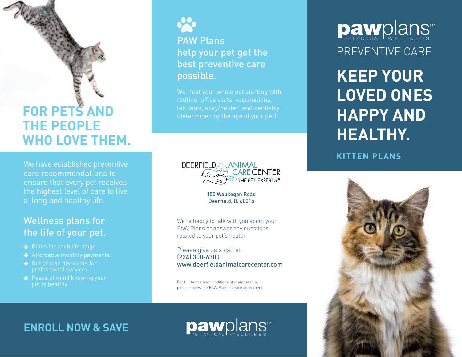## **FOR PETS AND THE PEOPLE WHO LOVE THEM.**

We have established preventive care recommendations to ensure that every pet receives the highest level of care to live a long and healthy life.

## Wellness plans for the life of your pet.

- Plans for each life stage
- Affordable monthly payments
- Out of plan discounts for professional services
- **<sup>■</sup>** Peace of mind knowing your pet is healthy



PAW Plans help your pet get the best preventive care possible.

We treat your whole pet starting with routine office visits, vaccinations, lab work, spay/neuter and dentistry



150 Waukegan Road Deerfield, IL 60015

We're happy to talk with you about your PAW Plans or answer any questions related to your pet's health.

Please give us a call at (224) 300-6300 www.deerfieldanimalcarecenter.com

For full terms and conditions of membership, please review the PAW Plans service agreement. PREVENTIVE CARE **Daw**plans™

**KEEP YOUR LOVED ONES HAPPY AND HEALTHY.**

**KITTEN PLANS**



**ENROLL NOW & SAVE**